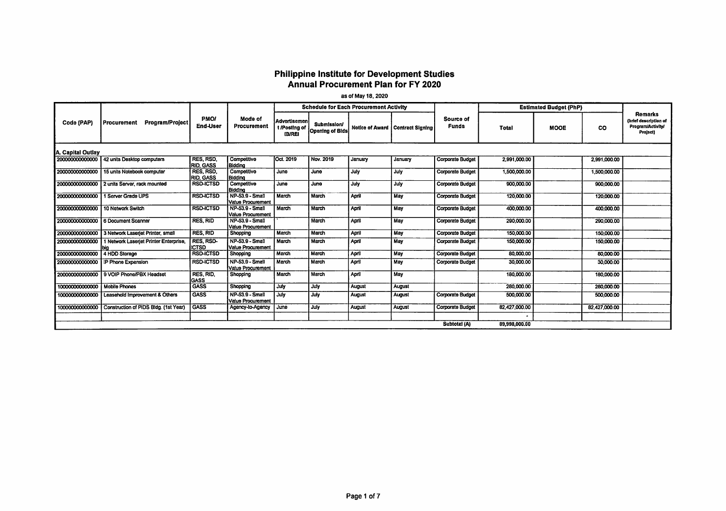## Philippine institute for Development Studies Annual Procurement Plan for FY 2020

as of May 18, 2020

|                   |                                              |                                      |                                             |                                                |                                       | <b>Schedule for Each Procurement Activity</b> |                                    |                           |               | <b>Estimated Budget (PhP)</b> |               |                                                                          |
|-------------------|----------------------------------------------|--------------------------------------|---------------------------------------------|------------------------------------------------|---------------------------------------|-----------------------------------------------|------------------------------------|---------------------------|---------------|-------------------------------|---------------|--------------------------------------------------------------------------|
| Code (PAP)        | Program/Project<br>Procurement               | <b>PMO/</b><br><b>End-User</b>       | Mode of<br>Procurement                      | Advertisemen<br>t /Posting of<br><b>IB/REI</b> | <b>Submission/</b><br>Opening of Bids |                                               | Notice of Award   Contract Signing | Source of<br><b>Funds</b> | <b>Total</b>  | <b>MOOE</b>                   | <b>CO</b>     | <b>Remarks</b><br>(brief description of<br>Program/Activity/<br>Project) |
| A. Capital Outlay |                                              |                                      |                                             |                                                |                                       |                                               |                                    |                           |               |                               |               |                                                                          |
|                   | 200000000000000 42 units Desktop computers   | RES, RSD.<br><b>RID. GASS</b>        | Competitive<br><b>Biddina</b>               | Oct. 2019                                      | Nov. 2019                             | January                                       | January                            | Corporate Budget          | 2,991,000.00  |                               | 2,991,000.00  |                                                                          |
| 200000000000000   | 15 units Notebook computer                   | <b>RES. RSD.</b><br><b>RID. GASS</b> | Competitive<br>Bidding                      | June                                           | June                                  | July                                          | July                               | <b>Corporate Budget</b>   | 1,500,000.00  |                               | 1,500,000.00  |                                                                          |
|                   | 200000000000000 2 units Server, rack mounted | <b>RSD-ICTSD</b>                     | Competitive<br>Bidding                      | June                                           | June                                  | July                                          | July                               | <b>Corporate Budget</b>   | 900,000.00    |                               | 900,000,00    |                                                                          |
| 20000000000000    | 1 Server Grade UPS                           | <b>RSD-ICTSD</b>                     | <b>NP-53.9 - Small</b><br>Value Procurement | March                                          | March                                 | April                                         | <b>May</b>                         | <b>Corporate Budget</b>   | 120,000.00    |                               | 120,000.00    |                                                                          |
| 200000000000000   | 10 Network Switch                            | <b>RSD-ICTSD</b>                     | <b>NP-53.9 - Small</b><br>Value Procurement | March                                          | March                                 | April                                         | <b>May</b>                         | <b>Corporate Budget</b>   | 400,000,00    |                               | 400,000,00    |                                                                          |
| 200000000000000   | 6 Document Scanner                           | <b>RES. RID</b>                      | NP-53.9 - Small<br>Value Procurement        |                                                | March                                 | April                                         | May                                | <b>Corporate Budget</b>   | 290,000,00    |                               | 290,000.00    |                                                                          |
| 200000000000000   | 3 Network Laseriet Printer, small            | <b>RES. RID</b>                      | Shopping                                    | March                                          | March                                 | April                                         | May                                | Corporate Budget          | 150,000,00    |                               | 150,000.00    |                                                                          |
| 200000000000000   | 1 Network Laseriet Printer Enterprise,       | RES, RSD-<br><b>ICTSD</b>            | NP-53.9 - Small<br><b>Value Procurement</b> | March                                          | March                                 | April                                         | May                                | Corporate Budget          | 150,000.00    |                               | 150,000,00    |                                                                          |
| 200000000000000   | 4 HDD Storage                                | <b>RSD-ICTSD</b>                     | Shopping                                    | March                                          | March                                 | April                                         | May                                | <b>Corporate Budget</b>   | 80,000,00     |                               | 80,000.00     |                                                                          |
| 200000000000000   | I IP Phone Expansion                         | <b>RSD-ICTSD</b>                     | NP-53.9 - Small<br>Value Procurement        | March                                          | March                                 | April                                         | May                                | <b>Corporate Budget</b>   | 30,000.00     |                               | 30,000.00     |                                                                          |
|                   | 200000000000000 9 VOIP Phone/PBX Headset     | RES, RID.<br><b>GASS</b>             | Shopping                                    | March                                          | March                                 | April                                         | May                                |                           | 180,000,00    |                               | 180,000.00    |                                                                          |
| 100000000000000   | <b>Mobile Phones</b>                         | GASS                                 | Shopping                                    | July                                           | July                                  | August                                        | August                             |                           | 280,000.00    |                               | 280,000.00    |                                                                          |
| 100000000000000   | Leasehold Improvement & Others               | <b>GASS</b>                          | NP-53.9 - Small<br>Value Procurement        | July                                           | July                                  | August                                        | August                             | <b>Corporate Budget</b>   | 500,000,00    |                               | 500,000.00    |                                                                          |
| 100000000000000   | Construction of PIDS Bldg. (1st Year)        | <b>GASS</b>                          | Agency-to-Agency                            | June                                           | July                                  | August                                        | August                             | <b>Corporate Budget</b>   | 82.427,000.00 |                               | 82,427,000.00 |                                                                          |
|                   |                                              |                                      |                                             |                                                |                                       |                                               |                                    |                           |               |                               |               |                                                                          |
|                   |                                              |                                      |                                             |                                                |                                       |                                               |                                    | Subtotal (A)              | 89,998,000.00 |                               |               |                                                                          |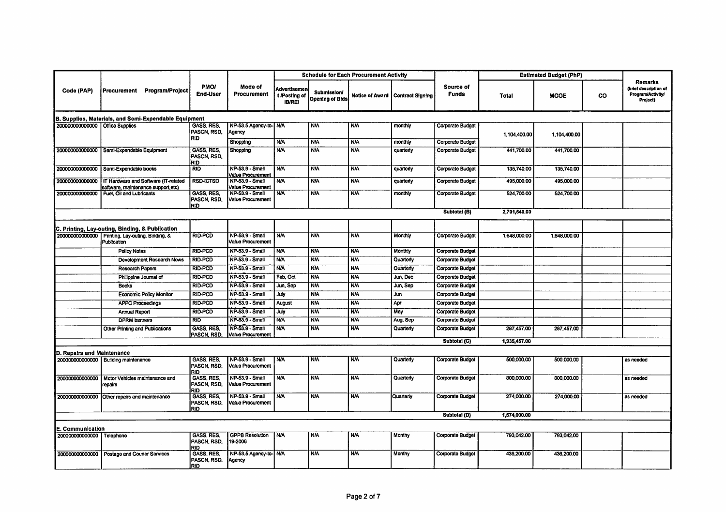|                                   |                                                                 |                                                |                                                                  |                                                       |                                       | <b>Schedule for Each Procurement Activity</b> |                                           |                           |              | <b>Estimated Budget (PhP)</b> |           |                                                                                 |
|-----------------------------------|-----------------------------------------------------------------|------------------------------------------------|------------------------------------------------------------------|-------------------------------------------------------|---------------------------------------|-----------------------------------------------|-------------------------------------------|---------------------------|--------------|-------------------------------|-----------|---------------------------------------------------------------------------------|
| Code (PAP)                        | Procurement Program/Project                                     | <b>PMOI</b><br><b>End-User</b>                 | Mode of<br><b>Procurement</b>                                    | <b>Advertisemen</b><br>t /Posting of<br><b>IB/REI</b> | Submission/<br><b>Opening of Bids</b> |                                               | <b>Notice of Award   Contract Signing</b> | Source of<br><b>Funds</b> | Total        | <b>MOOE</b>                   | <b>CO</b> | <b>Remarks</b><br>(brief description of<br><b>Program/Activity/</b><br>Project) |
|                                   | B. Supplies, Materials, and Semi-Expendable Equipment           |                                                |                                                                  |                                                       |                                       |                                               |                                           |                           |              |                               |           |                                                                                 |
| 200000000000000   Office Supplies |                                                                 | GASS, RES.<br>PASCN, RSD,<br><b>RID</b>        | NP-53.5 Agency-to- N/A<br>Agency                                 |                                                       | <b>N/A</b>                            | <b>N/A</b>                                    | monthly                                   | Corporate Budget          | 1,104,400.00 | 1,104,400.00                  |           |                                                                                 |
|                                   |                                                                 |                                                | Shopping                                                         | <b>N/A</b>                                            | <b>N/A</b>                            | <b>N/A</b>                                    | monthly                                   | Corporate Budget          |              |                               |           |                                                                                 |
|                                   | 200000000000000 Semi-Expendable Equipment                       | GASS, RES,<br>PASCN, RSD,<br>RID               | Shopping                                                         | <b>N/A</b>                                            | <b>N/A</b>                            | <b>N/A</b>                                    | quarterly                                 | Corporate Budget          | 441,700.00   | 441,700.00                    |           |                                                                                 |
|                                   | 200000000000000 Semi-Expendable books                           | <b>RID</b>                                     | <b>NP-53.9 - Small</b><br>Value Procurement                      | <b>N/A</b>                                            | <b>N/A</b>                            | <b>N/A</b>                                    | quarterly                                 | Corporate Budget          | 135,740.00   | 135,740.00                    |           |                                                                                 |
| 200000000000000                   | IT Hardware and Software (IT-related                            | <b>RSD-ICTSD</b>                               | NP-53.9 - Small                                                  | <b>N/A</b>                                            | <b>N/A</b>                            | <b>N/A</b>                                    | quarterly                                 | <b>Corporate Budget</b>   | 495,000.00   | 495,000.00                    |           |                                                                                 |
| 20000000000000                    | software, maintenance support, etc)<br>Fuel, Oil and Lubricants | <b>GASS, RES</b><br>PASCN, RSD.<br><b>RID</b>  | Value Procurement<br><b>NP-53.9 - Small</b><br>Value Procurement | <b>N/A</b>                                            | <b>N/A</b>                            | <b>N/A</b>                                    | monthly                                   | Corporate Budget          | 524,700.00   | 524,700.00                    |           |                                                                                 |
|                                   |                                                                 |                                                |                                                                  |                                                       |                                       |                                               |                                           | Subtotal (B)              | 2,701,540.00 |                               |           |                                                                                 |
|                                   | C. Printing, Lay-outing, Binding, & Publication                 |                                                |                                                                  |                                                       |                                       |                                               |                                           |                           |              |                               |           |                                                                                 |
|                                   | 200000000000000 Printing, Lay-outing, Binding, &<br>Publication | RID-PCD                                        | <b>NP-53.9 - Small</b><br><b>Value Procurement</b>               | <b>N/A</b>                                            | <b>N/A</b>                            | <b>N/A</b>                                    | Monthly                                   | Corporate Budget          | 1,648,000.00 | 1,648,000.00                  |           |                                                                                 |
|                                   | <b>Policy Notes</b>                                             | <b>RID-PCD</b>                                 | <b>NP-53.9 - Small</b>                                           | <b>N/A</b>                                            | <b>N/A</b>                            | <b>N/A</b>                                    | Monthly                                   | <b>Corporate Budget</b>   |              |                               |           |                                                                                 |
|                                   | Development Research News                                       | <b>RID-PCD</b>                                 | NP-53.9 - Small                                                  | <b>N/A</b>                                            | <b>N/A</b>                            | <b>N/A</b>                                    | Quarterty                                 | <b>Corporate Budget</b>   |              |                               |           |                                                                                 |
|                                   | <b>Research Papers</b>                                          | <b>RID-PCD</b>                                 | NP-53.9 - Small                                                  | <b>N/A</b>                                            | <b>N/A</b>                            | <b>N/A</b>                                    | Quarterly                                 | <b>Corporate Budget</b>   |              |                               |           |                                                                                 |
|                                   | Philippine Journal of                                           | <b>RID-PCD</b>                                 | NP-53.9 - Small                                                  | Feb, Oct                                              | <b>N/A</b>                            | <b>N/A</b>                                    | Jun, Dec                                  | Corporate Budget          |              |                               |           |                                                                                 |
|                                   | <b>Books</b>                                                    | <b>RID-PCD</b>                                 | NP-53.9 - Small                                                  | Jun, Sep                                              | <b>N/A</b>                            | <b>N/A</b>                                    | Jun, Sep                                  | <b>Corporate Budget</b>   |              |                               |           |                                                                                 |
|                                   | <b>Economic Policy Monitor</b>                                  | <b>RID-PCD</b>                                 | NP-53.9 - Small                                                  | July                                                  | <b>N/A</b>                            | <b>N/A</b>                                    | Jun                                       | Corporate Budget          |              |                               |           |                                                                                 |
|                                   | <b>APPC Proceedings</b>                                         | <b>RID-PCD</b>                                 | NP-53.9 - Small                                                  | August                                                | <b>N/A</b>                            | <b>N/A</b>                                    | Apr                                       | Corporate Budget          |              |                               |           |                                                                                 |
|                                   | <b>Annual Report</b>                                            | <b>RID-PCD</b>                                 | <b>NP-53.9 - Small</b>                                           | July                                                  | <b>NIA</b>                            | <b>N/A</b>                                    | May                                       | Corporate Budget          |              |                               |           |                                                                                 |
|                                   | <b>DPRM</b> banners                                             | <b>RID</b>                                     | <b>NP-53.9 - Small</b>                                           | <b>N/A</b>                                            | <b>N/A</b>                            | <b>N/A</b>                                    | Aug, Sep                                  | <b>Corporate Budget</b>   |              |                               |           |                                                                                 |
|                                   | <b>Other Printing and Publications</b>                          | GASS, RES.<br>PASCN, RSD,                      | NP-53.9 - Small<br>Value Procurement                             | <b>N/A</b>                                            | <b>N/A</b>                            | <b>N/A</b>                                    | Quarterly                                 | <b>Corporate Budget</b>   | 287,457.00   | 287,457.00                    |           |                                                                                 |
|                                   |                                                                 |                                                |                                                                  |                                                       |                                       |                                               |                                           | Subtotal (C)              | 1,935,457.00 |                               |           |                                                                                 |
| D. Repairs and Maintenance        |                                                                 |                                                |                                                                  |                                                       |                                       |                                               |                                           |                           |              |                               |           |                                                                                 |
|                                   | 200000000000000 Building maintenance                            | <b>GASS, RES.</b><br>PASCN, RSD,<br>RID        | NP-53.9 - Small<br>Value Procurement                             | <b>NIA</b>                                            | <b>N/A</b>                            | <b>N/A</b>                                    | Quarterly                                 | Corporate Budget          | 500,000.00   | 500,000.00                    |           | as needed                                                                       |
| 200000000000000                   | Motor Vehicles maintenance and<br>repairs                       | GASS, RES,<br>PASCN, RSD,<br>RID               | NP-53.9 - Small<br>Value Procurement                             | <b>N/A</b>                                            | <b>N/A</b>                            | <b>N/A</b>                                    | Quarterly                                 | Corporate Budget          | 800,000.00   | 800,000.00                    |           | as needed                                                                       |
|                                   | 200000000000000 Other repairs and maintenance                   | GASS, RES.<br>PASCN, RSD,<br><b>RID</b>        | NP-53.9 - Small<br>Value Procurement                             | <b>N/A</b>                                            | <b>N/A</b>                            | <b>N/A</b>                                    | Quarterly                                 | <b>Corporate Budget</b>   | 274,000.00   | 274,000.00                    |           | as needed                                                                       |
|                                   |                                                                 |                                                |                                                                  |                                                       |                                       |                                               |                                           | Subtotal (D)              | 1,574,000.00 |                               |           |                                                                                 |
| E. Communication                  |                                                                 |                                                |                                                                  |                                                       |                                       |                                               |                                           |                           |              |                               |           |                                                                                 |
| 200000000000000 Telephone         |                                                                 | <b>GASS, RES.</b><br>PASCN, RSD,<br>RID        | <b>GPPB Resolution</b><br>19-2006                                | <b>N/A</b>                                            | <b>N/A</b>                            | <b>N/A</b>                                    | Monthy                                    | <b>Corporate Budget</b>   | 793,042.00   | 793,042.00                    |           |                                                                                 |
|                                   | 200000000000000 Postage and Courier Services                    | <b>GASS, RES.</b><br>PASCN, RSD,<br><b>RID</b> | NP-53.5 Agency-to- N/A<br>Agency                                 |                                                       | <b>N/A</b>                            | <b>N/A</b>                                    | Monthy                                    | Corporate Budget          | 436,200.00   | 436,200.00                    |           |                                                                                 |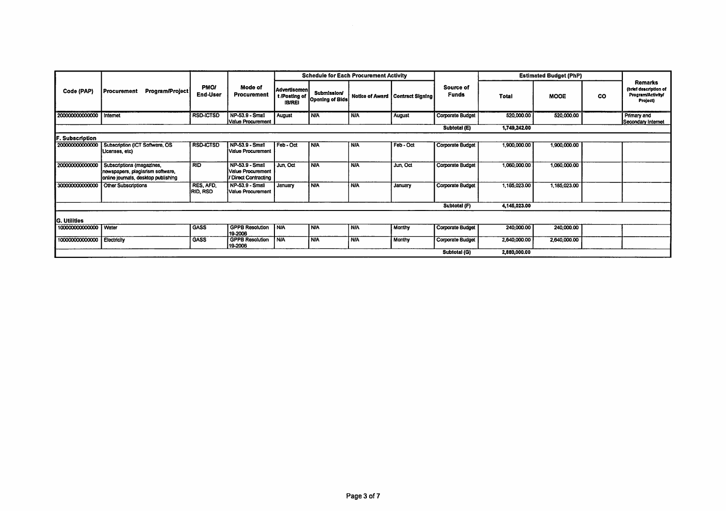|                          |                                                                                                      |                                |                                                              |                                                |                                              | <b>Schedule for Each Procurement Activity</b> |                                    |                           | <b>Estimated Budget (PhP)</b> |              |    |                                                                          |
|--------------------------|------------------------------------------------------------------------------------------------------|--------------------------------|--------------------------------------------------------------|------------------------------------------------|----------------------------------------------|-----------------------------------------------|------------------------------------|---------------------------|-------------------------------|--------------|----|--------------------------------------------------------------------------|
| Code (PAP)               | Program/Project<br>Procurement                                                                       | <b>PMOI</b><br><b>End-User</b> | Mode of<br>Procurement                                       | Advertisemen<br>t /Posting of<br><b>IB/REI</b> | <b>Submission/</b><br><b>Opening of Bids</b> |                                               | Notice of Award   Contract Signing | Source of<br><b>Funds</b> | <b>Total</b>                  | <b>MOOE</b>  | CO | <b>Remarks</b><br>(brief description of<br>Program/Activity/<br>Project) |
| 200000000000000 Internet |                                                                                                      | <b>RSD-ICTSD</b>               | NP-53.9 - Small<br>Value Procurement                         | <b>August</b>                                  | <b>N/A</b>                                   | <b>N/A</b>                                    | August                             | <b>Corporate Budget</b>   | 520,000.00                    | 520,000.00   |    | Primary and<br>Secondary Internet                                        |
|                          |                                                                                                      |                                |                                                              |                                                |                                              |                                               |                                    | Subtotal (E)              | 1,749,242.00                  |              |    |                                                                          |
| F. Subscription          |                                                                                                      |                                |                                                              |                                                |                                              |                                               |                                    |                           |                               |              |    |                                                                          |
| 200000000000000          | Subscription (ICT Software, OS<br>Licenses, etc)                                                     | <b>RSD-ICTSD</b>               | NP-53.9 - Small<br>Value Procurement                         | Feb - Oct                                      | <b>N/A</b>                                   | <b>N/A</b>                                    | Feb - Oct                          | <b>Corporate Budget</b>   | 1,900,000.00                  | 1,900,000.00 |    |                                                                          |
| 200000000000000          | Subscriptions (magazines,<br>newspapers, plagiarism software,<br>online journals, desktop publishing | <b>RID</b>                     | NP-53.9 - Small<br>Value Procurement<br>/ Direct Contracting | Jun, Oct                                       | <b>NA</b>                                    | <b>N/A</b>                                    | Jun, Oct                           | Corporate Budget          | 1,060,000.00                  | 1,060,000.00 |    |                                                                          |
| 300000000000000          | <b>Other Subscriptions</b>                                                                           | RES, AFD.<br><b>RID, RSD</b>   | NP-53.9 - Small<br><b>Value Procurement</b>                  | January                                        | <b>N/A</b>                                   | <b>N/A</b>                                    | January                            | Corporate Budget          | 1,185,023.00                  | 1,185,023.00 |    |                                                                          |
|                          |                                                                                                      |                                |                                                              |                                                |                                              |                                               |                                    | Subtotal (F)              | 4,145,023.00                  |              |    |                                                                          |
| <b>G. Utilities</b>      |                                                                                                      |                                |                                                              |                                                |                                              |                                               |                                    |                           |                               |              |    |                                                                          |
| 100000000000000 Water    |                                                                                                      | <b>GASS</b>                    | <b>GPPB Resolution</b><br>19-2006                            | <b>N/A</b>                                     | <b>INA</b>                                   | <b>N/A</b>                                    | Monthy                             | Corporate Budget          | 240,000.00                    | 240,000.00   |    |                                                                          |
| 100000000000000          | Electricity                                                                                          | <b>GASS</b>                    | <b>GPPB Resolution</b><br>19-2006                            | <b>N/A</b>                                     | <b>N/A</b>                                   | <b>N/A</b>                                    | Monthy                             | <b>Corporate Budget</b>   | 2,640,000.00                  | 2,640,000.00 |    |                                                                          |
|                          |                                                                                                      |                                |                                                              |                                                |                                              |                                               |                                    | Subtotal (G)              | 2,880,000.00                  |              |    |                                                                          |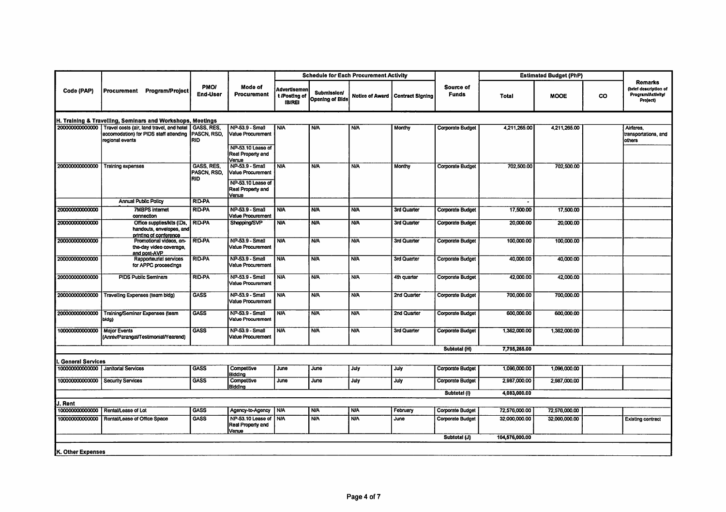|                         |                                                                                                                                               |                                                |                                                                                         |                                                |                                              | <b>Schedule for Each Procurement Activity</b> |                                    |                           |                | <b>Estimated Budget (PhP)</b> |           |                                                                                 |
|-------------------------|-----------------------------------------------------------------------------------------------------------------------------------------------|------------------------------------------------|-----------------------------------------------------------------------------------------|------------------------------------------------|----------------------------------------------|-----------------------------------------------|------------------------------------|---------------------------|----------------|-------------------------------|-----------|---------------------------------------------------------------------------------|
| Code (PAP)              | Procurement Program/Project                                                                                                                   | <b>PMOI</b><br><b>End-User</b>                 | Mode of<br><b>Procurement</b>                                                           | Advertisemen<br>t /Posting of<br><b>IB/REI</b> | <b>Submission/</b><br><b>Opening of Bids</b> |                                               | Notice of Award   Contract Signing | Source of<br><b>Funds</b> | <b>Total</b>   | <b>MOOE</b>                   | <b>CO</b> | <b>Remarks</b><br>(brief description of<br><b>Program/Activity/</b><br>Project) |
|                         | H. Training & Travelling, Seminars and Workshops, Meetings                                                                                    |                                                |                                                                                         |                                                |                                              |                                               |                                    |                           |                |                               |           |                                                                                 |
|                         | 200000000000000 Travel costs (air, land travel, and hotel GASS, RES,<br>accomodation) for PIDS staff attending PASCN, RSD,<br>regional events | <b>RID</b>                                     | NP-53.9 - Small<br>Value Procurement                                                    | <b>N/A</b>                                     | <b>N/A</b>                                   | <b>N/A</b>                                    | Monthy                             | <b>Corporate Budget</b>   | 4,211,265.00   | 4,211,265.00                  |           | Airfares.<br>transportations, and<br>others                                     |
|                         |                                                                                                                                               |                                                | NP-53.10 Lease of<br>Real Property and<br>Venue                                         |                                                |                                              |                                               |                                    |                           |                |                               |           |                                                                                 |
| 200000000000000         | Training expenses                                                                                                                             | <b>GASS, RES.</b><br>PASCN, RSD,<br><b>RID</b> | NP-53.9 - Small<br>Value Procurement<br>NP-53.10 Lease of<br>Real Property and<br>Venue | <b>N/A</b>                                     | <b>N/A</b>                                   | <b>N/A</b>                                    | Monthy                             | <b>Corporate Budget</b>   | 702,500.00     | 702,500.00                    |           |                                                                                 |
|                         | <b>Annual Public Policy</b>                                                                                                                   | <b>RID-PA</b>                                  |                                                                                         |                                                |                                              |                                               |                                    |                           |                |                               |           |                                                                                 |
| 200000000000000         | <b>7MBPS internet</b><br>connection                                                                                                           | <b>RID-PA</b>                                  | <b>NP-53.9 - Small</b><br>Value Procurement                                             | <b>N/A</b>                                     | <b>N/A</b>                                   | <b>N/A</b>                                    | 3rd Quarter                        | <b>Corporate Budget</b>   | 17,500.00      | 17,500.00                     |           |                                                                                 |
| 200000000000000         | Office supplies/kits (IDs,<br>handouts, envelopes, and                                                                                        | <b>RID-PA</b>                                  | Shopping/SVP                                                                            | <b>N/A</b>                                     | <b>N/A</b>                                   | <b>N/A</b>                                    | 3rd Quarter                        | <b>Corporate Budget</b>   | 20,000.00      | 20,000.00                     |           |                                                                                 |
| 200000000000000         | printing of conference<br>Promotional videos, on-<br>the-day video coverage,<br>and post-AVP                                                  | <b>RID-PA</b>                                  | <b>NP-53.9 - Small</b><br>Value Procurement                                             | <b>N/A</b>                                     | <b>N/A</b>                                   | <b>N/A</b>                                    | 3rd Quarter                        | Corporate Budget          | 100,000.00     | 100,000.00                    |           |                                                                                 |
| 200000000000000         | Rapporteurial services<br>for APPC proceedings                                                                                                | <b>RID-PA</b>                                  | NP-53.9 - Small<br>Value Procurement                                                    | <b>N/A</b>                                     | <b>N/A</b>                                   | <b>N/A</b>                                    | 3rd Quarter                        | <b>Corporate Budget</b>   | 40,000.00      | 40,000.00                     |           |                                                                                 |
| 20000000000000          | <b>PIDS Public Seminars</b>                                                                                                                   | <b>RID-PA</b>                                  | <b>NP-53.9 - Small</b><br>Value Procurement                                             | <b>N/A</b>                                     | <b>N/A</b>                                   | <b>N/A</b>                                    | 4th quarter                        | <b>Corporate Budget</b>   | 42,000.00      | 42,000.00                     |           |                                                                                 |
| 20000000000000          | Travelling Expenses (team bldg)                                                                                                               | <b>GASS</b>                                    | NP-53.9 - Small<br>Value Procurement                                                    | <b>N/A</b>                                     | <b>N/A</b>                                   | <b>N/A</b>                                    | 2nd Quarter                        | Corporate Budget          | 700,000.00     | 700,000.00                    |           |                                                                                 |
|                         | 200000000000000 Training/Seminar Expenses (team<br>bidg)                                                                                      | <b>GASS</b>                                    | <b>NP-53.9 - Small</b><br>Value Procurement                                             | <b>N/A</b>                                     | <b>N/A</b>                                   | <b>N/A</b>                                    | 2nd Quarter                        | Corporate Budget          | 600,000.00     | 600,000.00                    |           |                                                                                 |
| 100000000000000         | <b>Major Events</b><br>(Anniv/Parangal/Testimonial/Yearend)                                                                                   | <b>GASS</b>                                    | NP-53.9 - Small<br>Value Procurement                                                    | <b>N/A</b>                                     | <b>N/A</b>                                   | <b>N/A</b>                                    | 3rd Quarter                        | <b>Corporate Budget</b>   | 1,362,000.00   | 1,362,000.00                  |           |                                                                                 |
|                         |                                                                                                                                               |                                                |                                                                                         |                                                |                                              |                                               |                                    | Subtotal (H)              | 7,795,265.00   |                               |           |                                                                                 |
| <b>General Services</b> |                                                                                                                                               |                                                |                                                                                         |                                                |                                              |                                               |                                    |                           |                |                               |           |                                                                                 |
|                         | 100000000000000 Janitorial Services                                                                                                           | <b>GASS</b>                                    | Competitive<br>Bidding                                                                  | June                                           | June                                         | July                                          | July                               | <b>Corporate Budget</b>   | 1,096,000.00   | 1,096,000,00                  |           |                                                                                 |
| 100000000000000         | Security Services                                                                                                                             | <b>GASS</b>                                    | Competitive<br>Biddina                                                                  | June                                           | June                                         | July                                          | July                               | <b>Corporate Budget</b>   | 2,987,000.00   | 2,987,000.00                  |           |                                                                                 |
|                         |                                                                                                                                               |                                                |                                                                                         |                                                |                                              |                                               |                                    | Subtotal (I)              | 4,083,000.00   |                               |           |                                                                                 |
| I. Rent                 |                                                                                                                                               |                                                |                                                                                         |                                                |                                              |                                               |                                    |                           |                |                               |           |                                                                                 |
| 100000000000000         | Rental/Lease of Lot                                                                                                                           | GASS                                           | Agency-to-Agency                                                                        | <b>N/A</b>                                     | <b>N/A</b>                                   | <b>N/A</b>                                    | February                           | Corporate Budget          | 72,576,000.00  | 72,576,000.00                 |           |                                                                                 |
| 100000000000000         | Rental/Lease of Office Space                                                                                                                  | <b>GASS</b>                                    | NP-53.10 Lease of<br>Real Property and<br>Venue                                         | <b>N/A</b>                                     | <b>N/A</b>                                   | <b>N/A</b>                                    | June                               | Corporate Budget          | 32,000,000.00  | 32,000,000.00                 |           | <b>Existing contract</b>                                                        |
|                         |                                                                                                                                               |                                                |                                                                                         |                                                |                                              |                                               |                                    | Subtotal (J)              | 104,576,000.00 |                               |           |                                                                                 |
| K. Other Expenses       |                                                                                                                                               |                                                |                                                                                         |                                                |                                              |                                               |                                    |                           |                |                               |           |                                                                                 |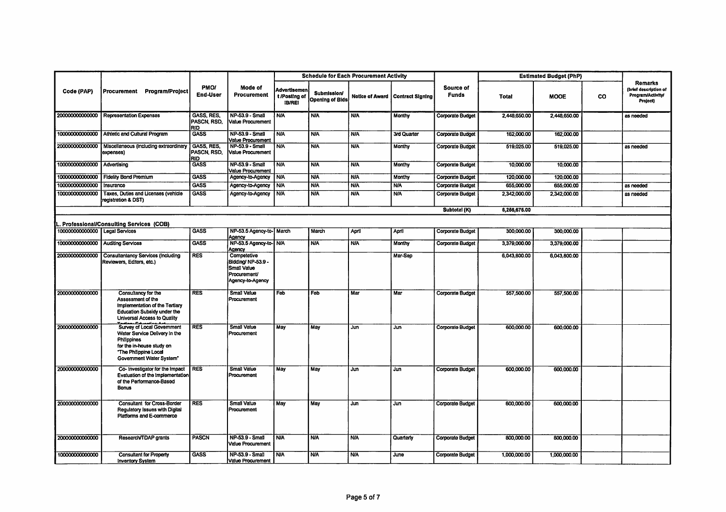|                                  |                                                                                                                                                              |                                                |                                                                                      | <b>Schedule for Each Procurement Activity</b><br><b>Estimated Budget (PhP)</b> |                                              |            |                                    |                           |              |              |           |                                                                                 |
|----------------------------------|--------------------------------------------------------------------------------------------------------------------------------------------------------------|------------------------------------------------|--------------------------------------------------------------------------------------|--------------------------------------------------------------------------------|----------------------------------------------|------------|------------------------------------|---------------------------|--------------|--------------|-----------|---------------------------------------------------------------------------------|
| Code (PAP)                       | Procurement Program/Project                                                                                                                                  | <b>PMOI</b><br><b>End-User</b>                 | Mode of<br><b>Procurement</b>                                                        | Advertisemen<br>t /Posting of<br><b>IB/REI</b>                                 | <b>Submission/</b><br><b>Opening of Bids</b> |            | Notice of Award   Contract Signing | Source of<br><b>Funds</b> | <b>Total</b> | <b>MOOE</b>  | <b>CO</b> | <b>Remarks</b><br>(brief description of<br><b>Program/Activity/</b><br>Project) |
| 20000000000000                   | <b>Representation Expenses</b>                                                                                                                               | <b>GASS, RES</b><br>PASCN, RSD,<br>RID         | NP-53.9 - Small<br>Value Procurement                                                 | <b>N/A</b>                                                                     | <b>N/A</b>                                   | N/A        | Monthy                             | <b>Corporate Budget</b>   | 2,448,650.00 | 2,448,650.00 |           | as needed                                                                       |
|                                  | 100000000000000 Athletic and Cultural Program                                                                                                                | <b>GASS</b>                                    | NP-53.9 - Small<br><b>Value Procurement</b>                                          | <b>N/A</b>                                                                     | <b>N/A</b>                                   | <b>N/A</b> | 3rd Quarter                        | <b>Corporate Budget</b>   | 162,000.00   | 162,000.00   |           |                                                                                 |
| 200000000000000                  | Miscellaneous (including extraordinary<br>expenses)                                                                                                          | <b>GASS, RES.</b><br>PASCN, RSD,<br><b>RID</b> | NP-53.9 - Small<br>Value Procurement                                                 | <b>N/A</b>                                                                     | <b>N/A</b>                                   | <b>N/A</b> | Monthy                             | <b>Corporate Budget</b>   | 519.025.00   | 519.025.00   |           | as needed                                                                       |
| 100000000000000 Advertising      |                                                                                                                                                              | <b>GASS</b>                                    | <b>NP-53.9 - Small</b><br>Value Procurement                                          | <b>N/A</b>                                                                     | <b>N/A</b>                                   | <b>N/A</b> | Monthy                             | <b>Corporate Budget</b>   | 10,000.00    | 10,000.00    |           |                                                                                 |
|                                  | 100000000000000 Fidelity Bond Premium                                                                                                                        | <b>GASS</b>                                    | Agency-to-Agency                                                                     | <b>N/A</b>                                                                     | <b>N/A</b>                                   | <b>N/A</b> | Monthy                             | <b>Corporate Budget</b>   | 120,000.00   | 120,000.00   |           |                                                                                 |
| 100000000000000                  | Insurance                                                                                                                                                    | <b>GASS</b>                                    | Agency-to-Agency                                                                     | <b>N/A</b>                                                                     | <b>NIA</b>                                   | <b>N/A</b> | <b>NA</b>                          | <b>Corporate Budget</b>   | 655,000.00   | 655,000.00   |           | as needed                                                                       |
| 100000000000000                  | Taxes, Duties and Licenses (vehicle<br>registration & DST)                                                                                                   | <b>GASS</b>                                    | Agency-to-Agency                                                                     | <b>N/A</b>                                                                     | <b>N/A</b>                                   | <b>N/A</b> | <b>N/A</b>                         | Corporate Budget          | 2,342,000.00 | 2,342,000.00 |           | as needed                                                                       |
|                                  |                                                                                                                                                              |                                                |                                                                                      |                                                                                |                                              |            |                                    | Subtotal (K)              | 6,266,675.00 |              |           |                                                                                 |
|                                  | L. Professional/Consulting Services (COB)                                                                                                                    |                                                |                                                                                      |                                                                                |                                              |            |                                    |                           |              |              |           |                                                                                 |
| 100000000000000   Legal Services |                                                                                                                                                              | <b>GASS</b>                                    | NP-53.5 Agency-to- March<br>Agency                                                   |                                                                                | March                                        | April      | April                              | Corporate Budget          | 300,000.00   | 300,000.00   |           |                                                                                 |
|                                  | 100000000000000 Auditing Services                                                                                                                            | <b>GASS</b>                                    | NP-53.5 Agency-to- N/A<br>Agency                                                     |                                                                                | <b>N/A</b>                                   | <b>N/A</b> | <b>Monthy</b>                      | <b>Corporate Budget</b>   | 3,379,000.00 | 3,379,000.00 |           |                                                                                 |
|                                  | 200000000000000 Consultantancy Services (including<br>Reviewers, Editors, etc.)                                                                              | <b>RES</b>                                     | Competetive<br>Biddina/ NP-53.9 -<br>Small Value<br>Procurement/<br>Agency-to-Agency |                                                                                |                                              |            | Mar-Sep                            |                           | 6,043,800.00 | 6.043.800.00 |           |                                                                                 |
| 200000000000000                  | Consultancy for the<br>Assessment of the<br>Implementation of the Tertiary<br><b>Education Subsidy under the</b><br>Universal Access to Quality              | <b>RES</b>                                     | Small Value<br>Procurement                                                           | Feb                                                                            | Feb                                          | Mar        | Mar                                | <b>Corporate Budget</b>   | 557,500.00   | 557,500.00   |           |                                                                                 |
| 200000000000000                  | Survey of Local Government<br>Water Service Delivery in the<br>Philippines<br>for the in-house study on<br>"The Philippine Local<br>Government Water System" | <b>RES</b>                                     | <b>Small Value</b><br>Procurement                                                    | May                                                                            | May                                          | Jun        | Jun                                | <b>Corporate Budget</b>   | 600,000.00   | 600,000.00   |           |                                                                                 |
| 200000000000000                  | Co- Investigator for the Impact<br>Evaluation of the Implementation<br>of the Performance-Based<br><b>Bonus</b>                                              | <b>RES</b>                                     | <b>Small Value</b><br>Procurement                                                    | May                                                                            | May                                          | Jun.       | Jun                                | <b>Corporate Budget</b>   | 600,000.00   | 600,000.00   |           |                                                                                 |
| 200000000000000                  | <b>Consultant for Cross-Border</b><br>Regulatory Issues with Digital<br>Platforms and E-commerce                                                             | <b>RES</b>                                     | <b>Small Value</b><br>Procurement                                                    | May                                                                            | May                                          | Jun        | Jun                                | <b>Corporate Budget</b>   | 600.000.00   | 600,000.00   |           |                                                                                 |
| 200000000000000                  | Research/TDAP grants                                                                                                                                         | PASCN                                          | NP-53.9 - Small<br><b>Value Procurement</b>                                          | <b>N/A</b>                                                                     | <b>N/A</b>                                   | <b>N/A</b> | Quarterly                          | <b>Corporate Budget</b>   | 800,000.00   | 800,000.00   |           |                                                                                 |
| 100000000000000                  | <b>Consultant for Property</b><br><b>Inventory System</b>                                                                                                    | <b>GASS</b>                                    | NP-53.9 - Small<br>Value Procurement                                                 | <b>N/A</b>                                                                     | <b>N/A</b>                                   | <b>N/A</b> | June                               | <b>Corporate Budget</b>   | 1,000,000.00 | 1,000,000.00 |           |                                                                                 |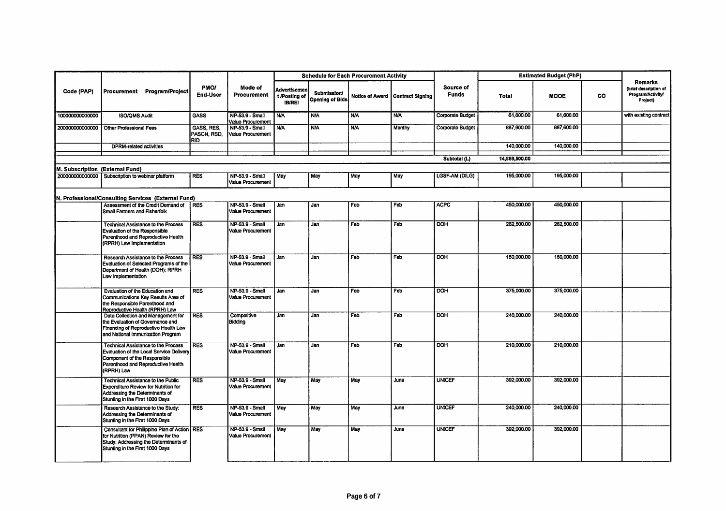|                                 |                                                                                                                                                                            |                                         |                                             | <b>Schedule for Each Procurement Activity</b>  |                                              |            |                                    |                           | <b>Estimated Budget (PhP)</b> |             |           |                                                                                 |
|---------------------------------|----------------------------------------------------------------------------------------------------------------------------------------------------------------------------|-----------------------------------------|---------------------------------------------|------------------------------------------------|----------------------------------------------|------------|------------------------------------|---------------------------|-------------------------------|-------------|-----------|---------------------------------------------------------------------------------|
| Code (PAP)                      | Procurement Program/Project                                                                                                                                                | <b>PMO/</b><br><b>End-User</b>          | Mode of<br>Procurement                      | Advertisemen<br>t /Posting of<br><b>IB/REI</b> | <b>Submission/</b><br><b>Opening of Bids</b> |            | Notice of Award   Contract Signing | Source of<br><b>Funds</b> | <b>Total</b>                  | <b>MOOE</b> | <b>CO</b> | <b>Remarks</b><br>(brief description of<br><b>Program/Activity/</b><br>Project) |
| 100000000000000                 | <b>ISO/OMS Audit</b>                                                                                                                                                       | <b>GASS</b>                             | NP-53.9 - Small<br>Value Procurement        | <b>N/A</b>                                     | <b>N/A</b>                                   | <b>N/A</b> | <b>N/A</b>                         | <b>Corporate Budget</b>   | 61,600.00                     | 61,600.00   |           | with existing contract                                                          |
| 200000000000000                 | <b>Other Professional Fees</b>                                                                                                                                             | GASS, RES,<br>PASCN, RSD,<br><b>RID</b> | NP-53.9 - Small<br>Value Procurement        | <b>N/A</b>                                     | <b>N/A</b>                                   | <b>N/A</b> | Monthy                             | Corporate Budget          | 887,600.00                    | 887,600.00  |           |                                                                                 |
|                                 | <b>DPRM-related activities</b>                                                                                                                                             |                                         |                                             |                                                |                                              |            |                                    |                           | 140,000.00                    | 140,000.00  |           |                                                                                 |
|                                 |                                                                                                                                                                            |                                         |                                             |                                                |                                              |            |                                    | Subtotal (L)              | 14,989,500.00                 |             |           |                                                                                 |
| M. Subscription (External Fund) |                                                                                                                                                                            |                                         |                                             |                                                |                                              |            |                                    |                           |                               |             |           |                                                                                 |
|                                 | 200000000000000 Subscription to webinar platform                                                                                                                           | <b>RES</b>                              | NP-53.9 - Small<br>Value Procurement        | May                                            | May                                          | May        | May                                | <b>LGSF-AM (DILG)</b>     | 195,000.00                    | 195,000.00  |           |                                                                                 |
|                                 | N. Professional/Consulting Services (External Fund)                                                                                                                        |                                         |                                             |                                                |                                              |            |                                    |                           |                               |             |           |                                                                                 |
|                                 | Assessment of the Credit Demand of<br>Small Farmers and Fisherfolk                                                                                                         | <b>RES</b>                              | NP-53.9 - Small<br>Value Procurement        | Jan                                            | Jan                                          | Feb        | Feb                                | <b>ACPC</b>               | 450,000.00                    | 450,000.00  |           |                                                                                 |
|                                 | <b>Technical Assistance to the Process</b><br>Evaluation of the Responsible<br>Parenthood and Reproductive Health<br>(RPRH) Law Implementation                             | <b>RES</b>                              | <b>NP-53.9 - Small</b><br>Value Procurement | <b>Jan</b>                                     | Jan                                          | Feb        | Feb                                | $\overline{DOH}$          | 262,500.00                    | 262,500.00  |           |                                                                                 |
|                                 | Research Assistance to the Process<br>Evaluation of Selected Programs of the<br>Department of Health (DOH): RPRH<br>Law Implementation                                     | <b>RES</b>                              | NP-53.9 - Small<br>Value Procurement        | Jan                                            | Jan                                          | Feb        | Feb                                | <b>DOH</b>                | 150,000.00                    | 150,000.00  |           |                                                                                 |
|                                 | Evaluation of the Education and<br>Communications Key Results Area of<br>the Responsible Parenthood and<br>Reproductive Health (RPRH) Law                                  | <b>RES</b>                              | NP-53.9 - Small<br>Value Procurement        | Jan                                            | Jan                                          | Feb        | Feb                                | <b>DOH</b>                | 375,000.00                    | 375,000.00  |           |                                                                                 |
|                                 | Data Collection and Management for<br>the Evaluation of Governance and<br>Financing of Reproductive Health Law<br>and National Immunization Program                        | <b>RES</b>                              | Competitive<br>Bidding                      | Jan                                            | Jan                                          | Feb        | Feb                                | <b>DOH</b>                | 240,000.00                    | 240,000,00  |           |                                                                                 |
|                                 | <b>Technical Assistance to the Process</b><br>Evaluation of the Local Service Delivery<br>Component of the Responsible<br>Parenthood and Reproductive Health<br>(RPRH) Law | <b>RES</b>                              | NP-53.9 - Small<br>Value Procurement        | Jan                                            | Jan                                          | Feb        | Feb                                | <b>DOH</b>                | 210,000.00                    | 210,000.00  |           |                                                                                 |
|                                 | <b>Technical Assistance to the Public</b><br><b>Expenditure Review for Nutrition for</b><br>Addressing the Determinants of<br>Stunting in the First 1000 Days              | <b>RES</b>                              | <b>NP-53.9 - Small</b><br>Value Procurement | May                                            | May                                          | May        | June                               | <b>UNICEF</b>             | 392,000.00                    | 392,000.00  |           |                                                                                 |
|                                 | Research Assistance to the Study:<br>Addressing the Determinants of<br>Stunting in the First 1000 Days                                                                     | <b>RES</b>                              | NP-53.9 - Small<br><b>Value Procurement</b> | May                                            | May                                          | May        | June                               | <b>UNICEF</b>             | 240,000.00                    | 240,000.00  |           |                                                                                 |
|                                 | Consultant for Philippine Plan of Action RES<br>for Nutrition (PPAN) Review for the<br>Study: Addressing the Determinants of<br>Stunting in the First 1000 Days            |                                         | NP-53.9 - Small<br>Value Procurement        | May                                            | May                                          | May        | June                               | <b>UNICEF</b>             | 392,000.00                    | 392.000.00  |           |                                                                                 |